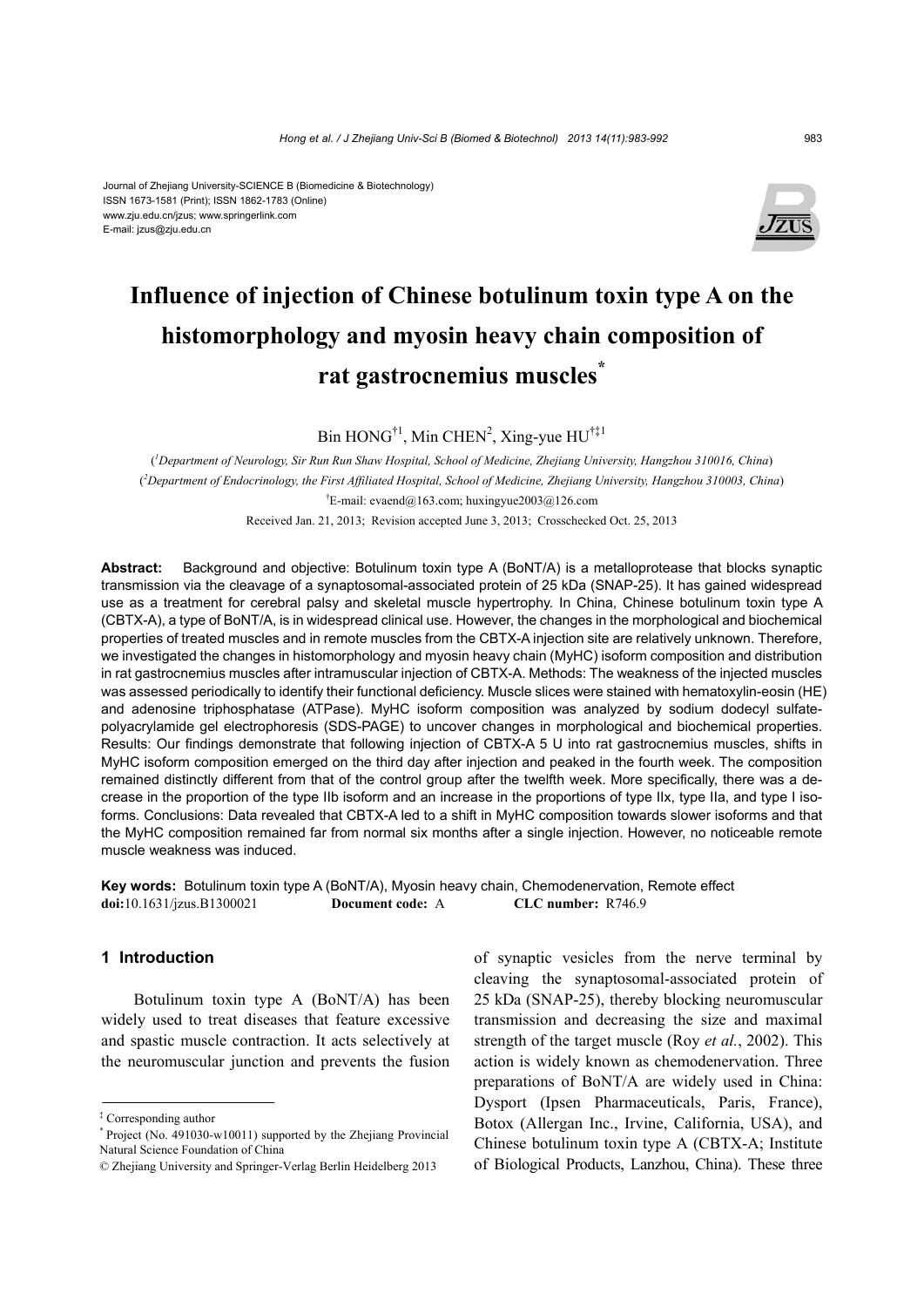#### Journal of Zhejiang University-SCIENCE B (Biomedicine & Biotechnology) ISSN 1673-1581 (Print); ISSN 1862-1783 (Online) www.zju.edu.cn/jzus; www.springerlink.com E-mail: jzus@zju.edu.cn



# **Influence of injection of Chinese botulinum toxin type A on the histomorphology and myosin heavy chain composition of rat gastrocnemius muscles\***

Bin  $HONG^{\dagger 1}$ , Min CHEN<sup>2</sup>, Xing-yue  $HU^{\dagger\ddagger 1}$ 

( *1 Department of Neurology, Sir Run Run Shaw Hospital, School of Medicine, Zhejiang University, Hangzhou 310016, China*) ( *2 Department of Endocrinology, the First Affiliated Hospital, School of Medicine, Zhejiang University, Hangzhou 310003, China*) † E-mail: evaend@163.com; huxingyue2003@126.com

Received Jan. 21, 2013; Revision accepted June 3, 2013; Crosschecked Oct. 25, 2013

**Abstract:** Background and objective: Botulinum toxin type A (BoNT/A) is a metalloprotease that blocks synaptic transmission via the cleavage of a synaptosomal-associated protein of 25 kDa (SNAP-25). It has gained widespread use as a treatment for cerebral palsy and skeletal muscle hypertrophy. In China, Chinese botulinum toxin type A (CBTX-A), a type of BoNT/A, is in widespread clinical use. However, the changes in the morphological and biochemical properties of treated muscles and in remote muscles from the CBTX-A injection site are relatively unknown. Therefore, we investigated the changes in histomorphology and myosin heavy chain (MyHC) isoform composition and distribution in rat gastrocnemius muscles after intramuscular injection of CBTX-A. Methods: The weakness of the injected muscles was assessed periodically to identify their functional deficiency. Muscle slices were stained with hematoxylin-eosin (HE) and adenosine triphosphatase (ATPase). MyHC isoform composition was analyzed by sodium dodecyl sulfatepolyacrylamide gel electrophoresis (SDS-PAGE) to uncover changes in morphological and biochemical properties. Results: Our findings demonstrate that following injection of CBTX-A 5 U into rat gastrocnemius muscles, shifts in MyHC isoform composition emerged on the third day after injection and peaked in the fourth week. The composition remained distinctly different from that of the control group after the twelfth week. More specifically, there was a decrease in the proportion of the type IIb isoform and an increase in the proportions of type IIx, type IIa, and type I isoforms. Conclusions: Data revealed that CBTX-A led to a shift in MyHC composition towards slower isoforms and that the MyHC composition remained far from normal six months after a single injection. However, no noticeable remote muscle weakness was induced.

**Key words:** Botulinum toxin type A (BoNT/A), Myosin heavy chain, Chemodenervation, Remote effect **doi:**10.1631/jzus.B1300021 **Document code:** A **CLC number:** R746.9

## **1 Introduction**

Botulinum toxin type A (BoNT/A) has been widely used to treat diseases that feature excessive and spastic muscle contraction. It acts selectively at the neuromuscular junction and prevents the fusion

of synaptic vesicles from the nerve terminal by cleaving the synaptosomal-associated protein of 25 kDa (SNAP-25), thereby blocking neuromuscular transmission and decreasing the size and maximal strength of the target muscle (Roy *et al.*, 2002). This action is widely known as chemodenervation. Three preparations of BoNT/A are widely used in China: Dysport (Ipsen Pharmaceuticals, Paris, France), Botox (Allergan Inc., Irvine, California, USA), and Chinese botulinum toxin type A (CBTX-A; Institute of Biological Products, Lanzhou, China). These three

<sup>‡</sup> Corresponding author

<sup>\*</sup> Project (No. 491030-w10011) supported by the Zhejiang Provincial Natural Science Foundation of China

<sup>©</sup> Zhejiang University and Springer-Verlag Berlin Heidelberg 2013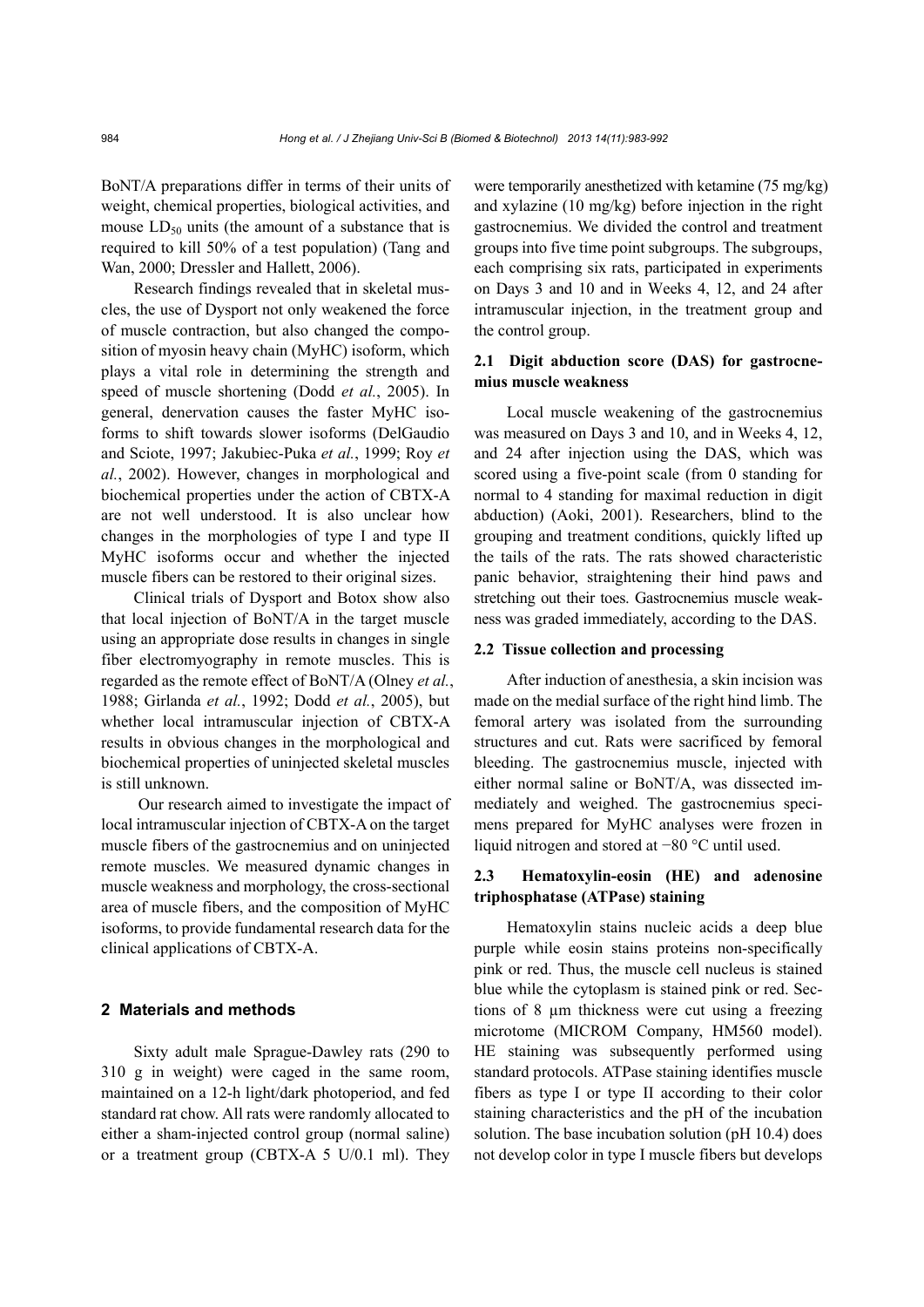BoNT/A preparations differ in terms of their units of weight, chemical properties, biological activities, and mouse  $LD_{50}$  units (the amount of a substance that is required to kill 50% of a test population) (Tang and Wan, 2000; Dressler and Hallett, 2006).

Research findings revealed that in skeletal muscles, the use of Dysport not only weakened the force of muscle contraction, but also changed the composition of myosin heavy chain (MyHC) isoform, which plays a vital role in determining the strength and speed of muscle shortening (Dodd *et al.*, 2005). In general, denervation causes the faster MyHC isoforms to shift towards slower isoforms (DelGaudio and Sciote, 1997; Jakubiec-Puka *et al.*, 1999; Roy *et al.*, 2002). However, changes in morphological and biochemical properties under the action of CBTX-A are not well understood. It is also unclear how changes in the morphologies of type I and type II MyHC isoforms occur and whether the injected muscle fibers can be restored to their original sizes.

Clinical trials of Dysport and Botox show also that local injection of BoNT/A in the target muscle using an appropriate dose results in changes in single fiber electromyography in remote muscles. This is regarded as the remote effect of BoNT/A (Olney *et al.*, 1988; Girlanda *et al.*, 1992; Dodd *et al.*, 2005), but whether local intramuscular injection of CBTX-A results in obvious changes in the morphological and biochemical properties of uninjected skeletal muscles is still unknown.

Our research aimed to investigate the impact of local intramuscular injection of CBTX-A on the target muscle fibers of the gastrocnemius and on uninjected remote muscles. We measured dynamic changes in muscle weakness and morphology, the cross-sectional area of muscle fibers, and the composition of MyHC isoforms, to provide fundamental research data for the clinical applications of CBTX-A.

## **2 Materials and methods**

Sixty adult male Sprague-Dawley rats (290 to 310 g in weight) were caged in the same room, maintained on a 12-h light/dark photoperiod, and fed standard rat chow. All rats were randomly allocated to either a sham-injected control group (normal saline) or a treatment group (CBTX-A 5 U/0.1 ml). They

were temporarily anesthetized with ketamine (75 mg/kg) and xylazine (10 mg/kg) before injection in the right gastrocnemius. We divided the control and treatment groups into five time point subgroups. The subgroups, each comprising six rats, participated in experiments on Days 3 and 10 and in Weeks 4, 12, and 24 after intramuscular injection, in the treatment group and the control group.

# **2.1 Digit abduction score (DAS) for gastrocnemius muscle weakness**

Local muscle weakening of the gastrocnemius was measured on Days 3 and 10, and in Weeks 4, 12, and 24 after injection using the DAS, which was scored using a five-point scale (from 0 standing for normal to 4 standing for maximal reduction in digit abduction) (Aoki, 2001). Researchers, blind to the grouping and treatment conditions, quickly lifted up the tails of the rats. The rats showed characteristic panic behavior, straightening their hind paws and stretching out their toes. Gastrocnemius muscle weakness was graded immediately, according to the DAS.

#### **2.2 Tissue collection and processing**

After induction of anesthesia, a skin incision was made on the medial surface of the right hind limb. The femoral artery was isolated from the surrounding structures and cut. Rats were sacrificed by femoral bleeding. The gastrocnemius muscle, injected with either normal saline or BoNT/A, was dissected immediately and weighed. The gastrocnemius specimens prepared for MyHC analyses were frozen in liquid nitrogen and stored at −80 °C until used.

# **2.3 Hematoxylin-eosin (HE) and adenosine triphosphatase (ATPase) staining**

Hematoxylin stains nucleic acids a deep blue purple while eosin stains proteins non-specifically pink or red. Thus, the muscle cell nucleus is stained blue while the cytoplasm is stained pink or red. Sections of 8 µm thickness were cut using a freezing microtome (MICROM Company, HM560 model). HE staining was subsequently performed using standard protocols. ATPase staining identifies muscle fibers as type I or type II according to their color staining characteristics and the pH of the incubation solution. The base incubation solution (pH 10.4) does not develop color in type I muscle fibers but develops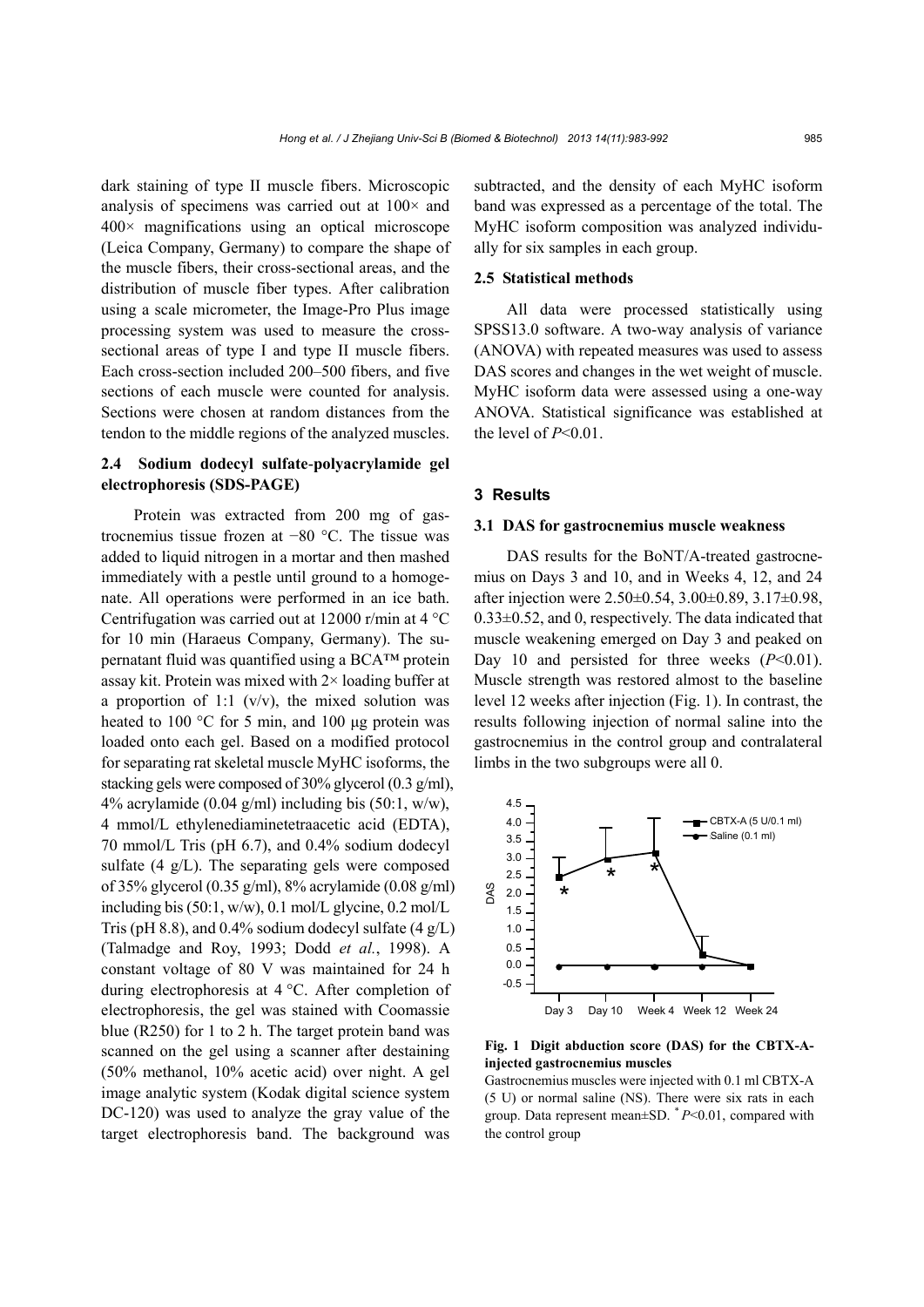dark staining of type II muscle fibers. Microscopic analysis of specimens was carried out at 100× and  $400\times$  magnifications using an optical microscope (Leica Company, Germany) to compare the shape of the muscle fibers, their cross-sectional areas, and the distribution of muscle fiber types. After calibration using a scale micrometer, the Image-Pro Plus image processing system was used to measure the crosssectional areas of type I and type II muscle fibers. Each cross-section included 200–500 fibers, and five sections of each muscle were counted for analysis. Sections were chosen at random distances from the tendon to the middle regions of the analyzed muscles.

# **2.4 Sodium dodecyl sulfate**-**polyacrylamide gel electrophoresis (SDS-PAGE)**

Protein was extracted from 200 mg of gastrocnemius tissue frozen at −80 °C. The tissue was added to liquid nitrogen in a mortar and then mashed immediately with a pestle until ground to a homogenate. All operations were performed in an ice bath. Centrifugation was carried out at 12000 r/min at 4 °C for 10 min (Haraeus Company, Germany). The supernatant fluid was quantified using a BCA™ protein assay kit. Protein was mixed with  $2\times$  loading buffer at a proportion of 1:1  $(v/v)$ , the mixed solution was heated to 100 °C for 5 min, and 100 μg protein was loaded onto each gel. Based on a modified protocol for separating rat skeletal muscle MyHC isoforms, the stacking gels were composed of 30% glycerol (0.3 g/ml), 4% acrylamide (0.04 g/ml) including bis  $(50:1, w/w)$ , 4 mmol/L ethylenediaminetetraacetic acid (EDTA), 70 mmol/L Tris (pH 6.7), and 0.4% sodium dodecyl sulfate  $(4 \text{ g/L})$ . The separating gels were composed of 35% glycerol (0.35 g/ml), 8% acrylamide (0.08 g/ml) including bis (50:1, w/w), 0.1 mol/L glycine, 0.2 mol/L Tris (pH 8.8), and  $0.4\%$  sodium dodecyl sulfate (4 g/L) (Talmadge and Roy, 1993; Dodd *et al.*, 1998). A constant voltage of 80 V was maintained for 24 h during electrophoresis at 4 °C. After completion of electrophoresis, the gel was stained with Coomassie blue (R250) for 1 to 2 h. The target protein band was scanned on the gel using a scanner after destaining (50% methanol, 10% acetic acid) over night. A gel image analytic system (Kodak digital science system DC-120) was used to analyze the gray value of the target electrophoresis band. The background was

subtracted, and the density of each MyHC isoform band was expressed as a percentage of the total. The MyHC isoform composition was analyzed individually for six samples in each group.

# **2.5 Statistical methods**

All data were processed statistically using SPSS13.0 software. A two-way analysis of variance (ANOVA) with repeated measures was used to assess DAS scores and changes in the wet weight of muscle. MyHC isoform data were assessed using a one-way ANOVA. Statistical significance was established at the level of *P*<0.01.

#### **3 Results**

#### **3.1 DAS for gastrocnemius muscle weakness**

DAS results for the BoNT/A-treated gastrocnemius on Days 3 and 10, and in Weeks 4, 12, and 24 after injection were 2.50±0.54, 3.00±0.89, 3.17±0.98, 0.33±0.52, and 0, respectively. The data indicated that muscle weakening emerged on Day 3 and peaked on Day 10 and persisted for three weeks ( $P<0.01$ ). Muscle strength was restored almost to the baseline level 12 weeks after injection (Fig. 1). In contrast, the results following injection of normal saline into the gastrocnemius in the control group and contralateral limbs in the two subgroups were all 0.



**Fig. 1 Digit abduction score (DAS) for the CBTX-Ainjected gastrocnemius muscles** 

Gastrocnemius muscles were injected with 0.1 ml CBTX-A (5 U) or normal saline (NS). There were six rats in each group. Data represent mean±SD. \* *P*<0.01, compared with the control group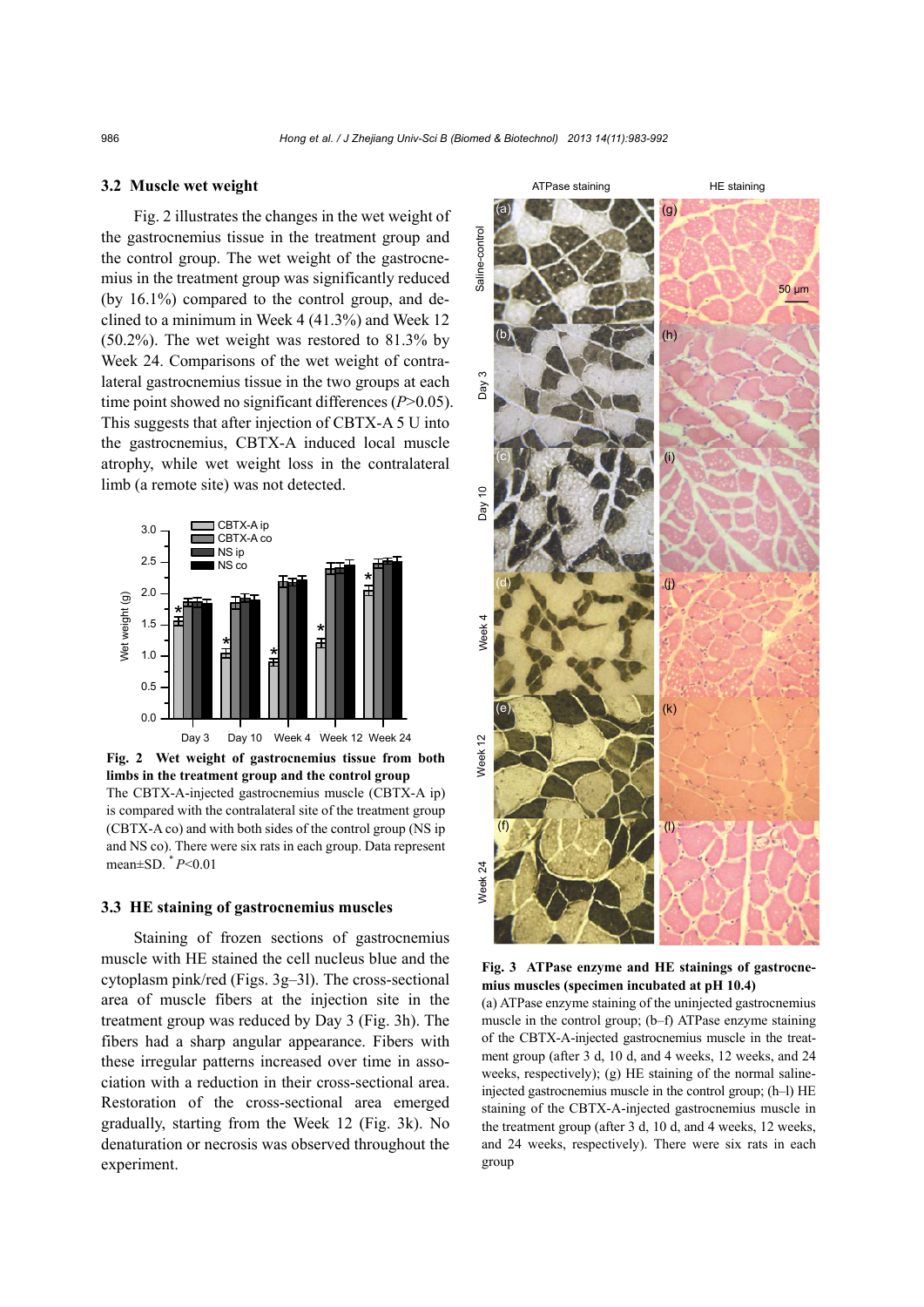# **3.2 Muscle wet weight**

Fig. 2 illustrates the changes in the wet weight of the gastrocnemius tissue in the treatment group and the control group. The wet weight of the gastrocnemius in the treatment group was significantly reduced (by 16.1%) compared to the control group, and declined to a minimum in Week 4 (41.3%) and Week 12 (50.2%). The wet weight was restored to 81.3% by Week 24. Comparisons of the wet weight of contralateral gastrocnemius tissue in the two groups at each time point showed no significant differences (*P*>0.05). This suggests that after injection of CBTX-A 5 U into the gastrocnemius, CBTX-A induced local muscle atrophy, while wet weight loss in the contralateral limb (a remote site) was not detected.



**Fig. 2 Wet weight of gastrocnemius tissue from both limbs in the treatment group and the control group**  The CBTX-A-injected gastrocnemius muscle (CBTX-A ip) is compared with the contralateral site of the treatment group (CBTX-A co) and with both sides of the control group (NS ip and NS co). There were six rats in each group. Data represent mean $\pm$ SD<sup>\*</sup> $P$ <0.01

#### **3.3 HE staining of gastrocnemius muscles**

Staining of frozen sections of gastrocnemius muscle with HE stained the cell nucleus blue and the cytoplasm pink/red (Figs. 3g–3l). The cross-sectional area of muscle fibers at the injection site in the treatment group was reduced by Day 3 (Fig. 3h). The fibers had a sharp angular appearance. Fibers with these irregular patterns increased over time in association with a reduction in their cross-sectional area. Restoration of the cross-sectional area emerged gradually, starting from the Week 12 (Fig. 3k). No denaturation or necrosis was observed throughout the experiment.



**Fig. 3 ATPase enzyme and HE stainings of gastrocnemius muscles (specimen incubated at pH 10.4)** 

(a) ATPase enzyme staining of the uninjected gastrocnemius muscle in the control group; (b–f) ATPase enzyme staining of the CBTX-A-injected gastrocnemius muscle in the treatment group (after 3 d, 10 d, and 4 weeks, 12 weeks, and 24 weeks, respectively); (g) HE staining of the normal salineinjected gastrocnemius muscle in the control group; (h–l) HE staining of the CBTX-A-injected gastrocnemius muscle in the treatment group (after 3 d, 10 d, and 4 weeks, 12 weeks, and 24 weeks, respectively). There were six rats in each group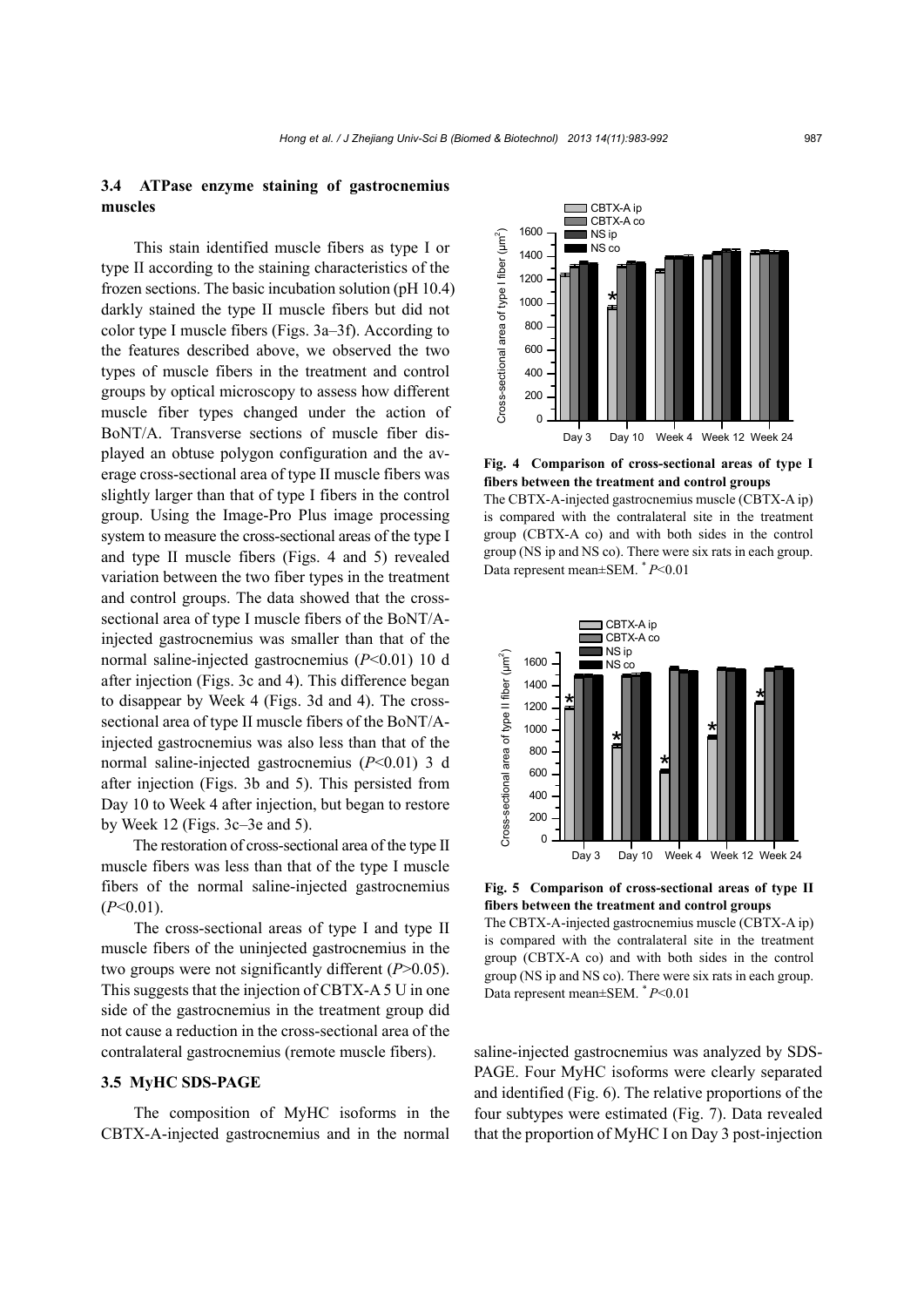# **3.4 ATPase enzyme staining of gastrocnemius muscles**

This stain identified muscle fibers as type I or type II according to the staining characteristics of the frozen sections. The basic incubation solution (pH 10.4) darkly stained the type II muscle fibers but did not color type I muscle fibers (Figs. 3a–3f). According to the features described above, we observed the two types of muscle fibers in the treatment and control groups by optical microscopy to assess how different muscle fiber types changed under the action of BoNT/A. Transverse sections of muscle fiber displayed an obtuse polygon configuration and the average cross-sectional area of type II muscle fibers was slightly larger than that of type I fibers in the control group. Using the Image-Pro Plus image processing system to measure the cross-sectional areas of the type I and type II muscle fibers (Figs. 4 and 5) revealed variation between the two fiber types in the treatment and control groups. The data showed that the crosssectional area of type I muscle fibers of the BoNT/Ainjected gastrocnemius was smaller than that of the normal saline-injected gastrocnemius (*P*<0.01) 10 d after injection (Figs. 3c and 4). This difference began to disappear by Week 4 (Figs. 3d and 4). The crosssectional area of type II muscle fibers of the BoNT/Ainjected gastrocnemius was also less than that of the normal saline-injected gastrocnemius (*P*<0.01) 3 d after injection (Figs. 3b and 5). This persisted from Day 10 to Week 4 after injection, but began to restore by Week 12 (Figs. 3c–3e and 5).

The restoration of cross-sectional area of the type II muscle fibers was less than that of the type I muscle fibers of the normal saline-injected gastrocnemius (*P*<0.01).

The cross-sectional areas of type I and type II muscle fibers of the uninjected gastrocnemius in the two groups were not significantly different (*P*>0.05). This suggests that the injection of CBTX-A 5 U in one side of the gastrocnemius in the treatment group did not cause a reduction in the cross-sectional area of the contralateral gastrocnemius (remote muscle fibers).

# **3.5 MyHC SDS-PAGE**

The composition of MyHC isoforms in the CBTX-A-injected gastrocnemius and in the normal



**Fig. 4 Comparison of cross-sectional areas of type I fibers between the treatment and control groups**  The CBTX-A-injected gastrocnemius muscle (CBTX-A ip) is compared with the contralateral site in the treatment group (CBTX-A co) and with both sides in the control group (NS ip and NS co). There were six rats in each group. Data represent mean±SEM. \* *P*<0.01



**Fig. 5 Comparison of cross-sectional areas of type II fibers between the treatment and control groups** 

The CBTX-A-injected gastrocnemius muscle (CBTX-A ip) is compared with the contralateral site in the treatment group (CBTX-A co) and with both sides in the control group (NS ip and NS co). There were six rats in each group. Data represent mean±SEM. \* *P*<0.01

saline-injected gastrocnemius was analyzed by SDS-PAGE. Four MyHC isoforms were clearly separated and identified (Fig. 6). The relative proportions of the four subtypes were estimated (Fig. 7). Data revealed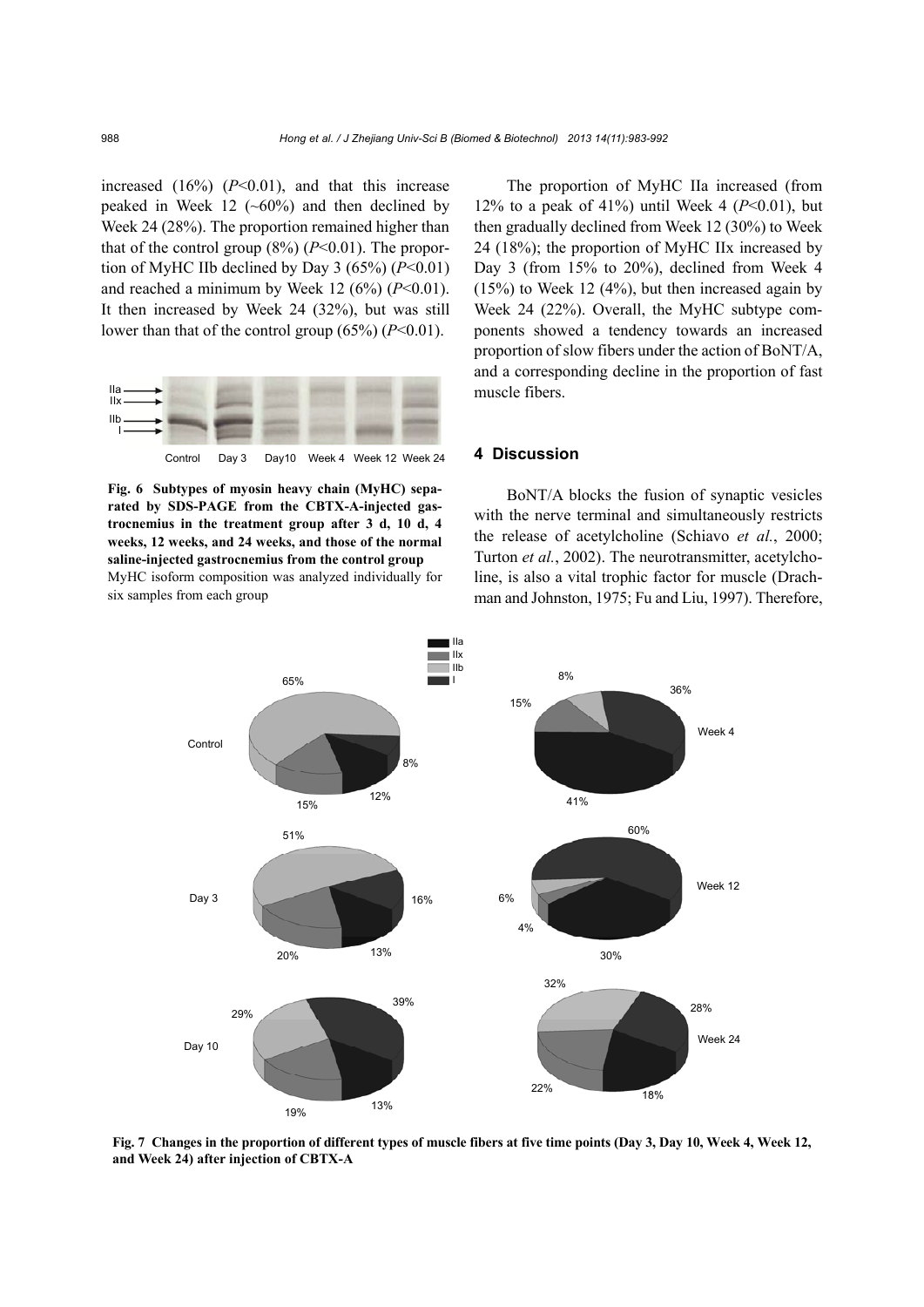increased  $(16\%)$   $(P<0.01)$ , and that this increase peaked in Week 12  $(-60\%)$  and then declined by Week 24 (28%). The proportion remained higher than that of the control group  $(8\%)$   $(P<0.01)$ . The proportion of MyHC IIb declined by Day  $3(65\%) (P<0.01)$ and reached a minimum by Week 12  $(6\%)$   $(P<0.01)$ . It then increased by Week 24 (32%), but was still lower than that of the control group (65%) (*P*<0.01).



**Fig. 6 Subtypes of myosin heavy chain (MyHC) separated by SDS-PAGE from the CBTX-A-injected gastrocnemius in the treatment group after 3 d, 10 d, 4 weeks, 12 weeks, and 24 weeks, and those of the normal saline-injected gastrocnemius from the control group**  MyHC isoform composition was analyzed individually for six samples from each group

The proportion of MyHC IIa increased (from 12% to a peak of 41%) until Week 4  $(P<0.01)$ , but then gradually declined from Week 12 (30%) to Week 24 (18%); the proportion of MyHC IIx increased by Day 3 (from 15% to 20%), declined from Week 4  $(15%)$  to Week 12  $(4%)$ , but then increased again by Week 24 (22%). Overall, the MyHC subtype components showed a tendency towards an increased proportion of slow fibers under the action of BoNT/A, and a corresponding decline in the proportion of fast muscle fibers.

# **4 Discussion**

BoNT/A blocks the fusion of synaptic vesicles with the nerve terminal and simultaneously restricts the release of acetylcholine (Schiavo *et al.*, 2000; Turton *et al.*, 2002). The neurotransmitter, acetylcholine, is also a vital trophic factor for muscle (Drachman and Johnston, 1975; Fu and Liu, 1997). Therefore,



**Fig. 7 Changes in the proportion of different types of muscle fibers at five time points (Day 3, Day 10, Week 4, Week 12, and Week 24) after injection of CBTX-A**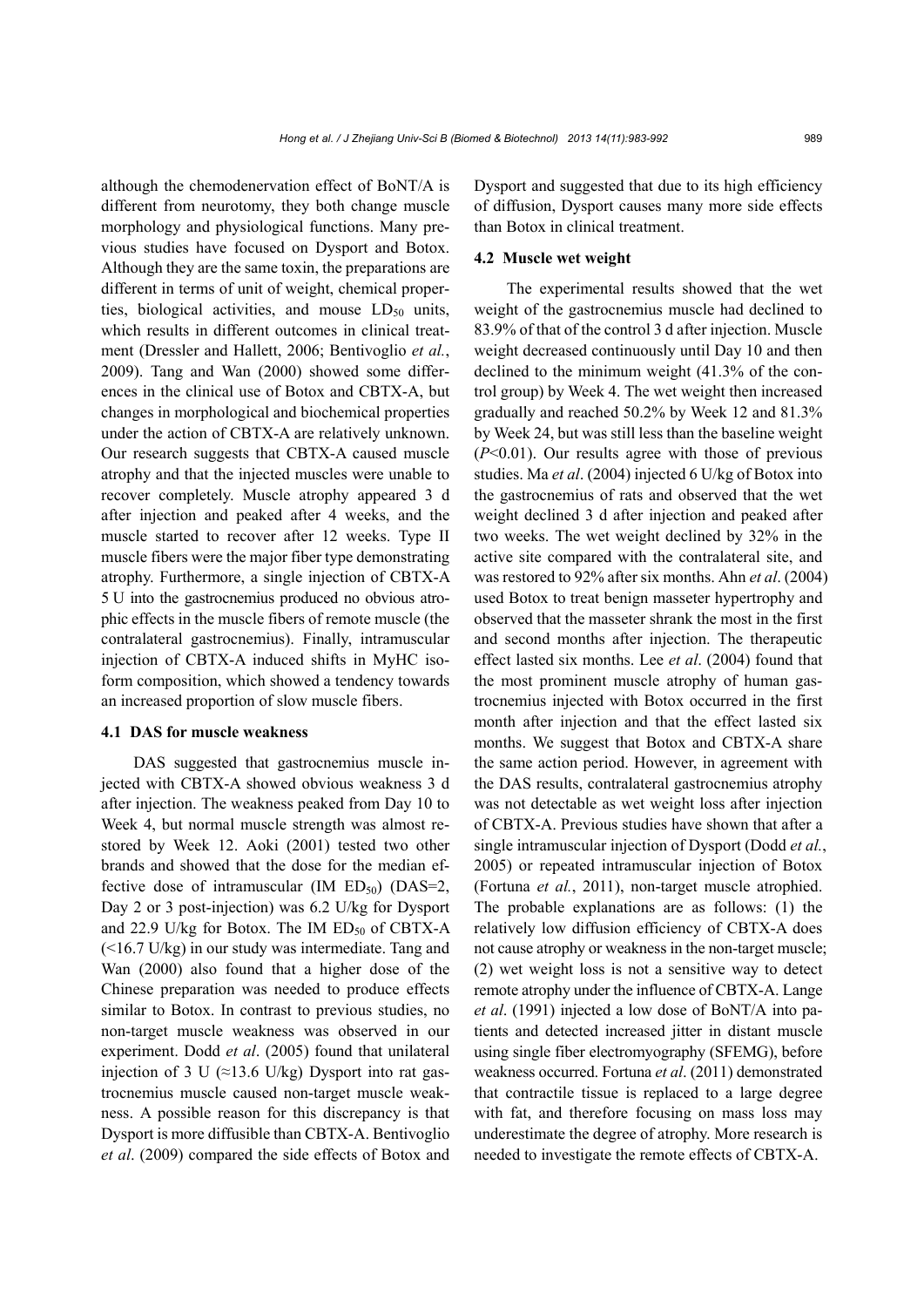although the chemodenervation effect of BoNT/A is different from neurotomy, they both change muscle morphology and physiological functions. Many previous studies have focused on Dysport and Botox. Although they are the same toxin, the preparations are different in terms of unit of weight, chemical properties, biological activities, and mouse  $LD_{50}$  units, which results in different outcomes in clinical treatment (Dressler and Hallett, 2006; Bentivoglio *et al.*, 2009). Tang and Wan (2000) showed some differences in the clinical use of Botox and CBTX-A, but changes in morphological and biochemical properties under the action of CBTX-A are relatively unknown. Our research suggests that CBTX-A caused muscle atrophy and that the injected muscles were unable to recover completely. Muscle atrophy appeared 3 d after injection and peaked after 4 weeks, and the muscle started to recover after 12 weeks. Type II muscle fibers were the major fiber type demonstrating atrophy. Furthermore, a single injection of CBTX-A 5 U into the gastrocnemius produced no obvious atrophic effects in the muscle fibers of remote muscle (the contralateral gastrocnemius). Finally, intramuscular injection of CBTX-A induced shifts in MyHC isoform composition, which showed a tendency towards an increased proportion of slow muscle fibers.

#### **4.1 DAS for muscle weakness**

DAS suggested that gastrocnemius muscle injected with CBTX-A showed obvious weakness 3 d after injection. The weakness peaked from Day 10 to Week 4, but normal muscle strength was almost restored by Week 12. Aoki (2001) tested two other brands and showed that the dose for the median effective dose of intramuscular (IM  $ED_{50}$ ) (DAS=2, Day 2 or 3 post-injection) was 6.2 U/kg for Dysport and 22.9 U/kg for Botox. The IM  $ED_{50}$  of CBTX-A (<16.7 U/kg) in our study was intermediate. Tang and Wan (2000) also found that a higher dose of the Chinese preparation was needed to produce effects similar to Botox. In contrast to previous studies, no non-target muscle weakness was observed in our experiment. Dodd *et al*. (2005) found that unilateral injection of 3 U ( $\approx$ 13.6 U/kg) Dysport into rat gastrocnemius muscle caused non-target muscle weakness. A possible reason for this discrepancy is that Dysport is more diffusible than CBTX-A. Bentivoglio *et al*. (2009) compared the side effects of Botox and Dysport and suggested that due to its high efficiency of diffusion, Dysport causes many more side effects than Botox in clinical treatment.

#### **4.2 Muscle wet weight**

The experimental results showed that the wet weight of the gastrocnemius muscle had declined to 83.9% of that of the control 3 d after injection. Muscle weight decreased continuously until Day 10 and then declined to the minimum weight (41.3% of the control group) by Week 4. The wet weight then increased gradually and reached 50.2% by Week 12 and 81.3% by Week 24, but was still less than the baseline weight (*P*<0.01). Our results agree with those of previous studies. Ma *et al*. (2004) injected 6 U/kg of Botox into the gastrocnemius of rats and observed that the wet weight declined 3 d after injection and peaked after two weeks. The wet weight declined by 32% in the active site compared with the contralateral site, and was restored to 92% after six months. Ahn *et al*. (2004) used Botox to treat benign masseter hypertrophy and observed that the masseter shrank the most in the first and second months after injection. The therapeutic effect lasted six months. Lee *et al*. (2004) found that the most prominent muscle atrophy of human gastrocnemius injected with Botox occurred in the first month after injection and that the effect lasted six months. We suggest that Botox and CBTX-A share the same action period. However, in agreement with the DAS results, contralateral gastrocnemius atrophy was not detectable as wet weight loss after injection of CBTX-A. Previous studies have shown that after a single intramuscular injection of Dysport (Dodd *et al.*, 2005) or repeated intramuscular injection of Botox (Fortuna *et al.*, 2011), non-target muscle atrophied. The probable explanations are as follows: (1) the relatively low diffusion efficiency of CBTX-A does not cause atrophy or weakness in the non-target muscle; (2) wet weight loss is not a sensitive way to detect remote atrophy under the influence of CBTX-A. Lange *et al*. (1991) injected a low dose of BoNT/A into patients and detected increased jitter in distant muscle using single fiber electromyography (SFEMG), before weakness occurred. Fortuna *et al*. (2011) demonstrated that contractile tissue is replaced to a large degree with fat, and therefore focusing on mass loss may underestimate the degree of atrophy. More research is needed to investigate the remote effects of CBTX-A.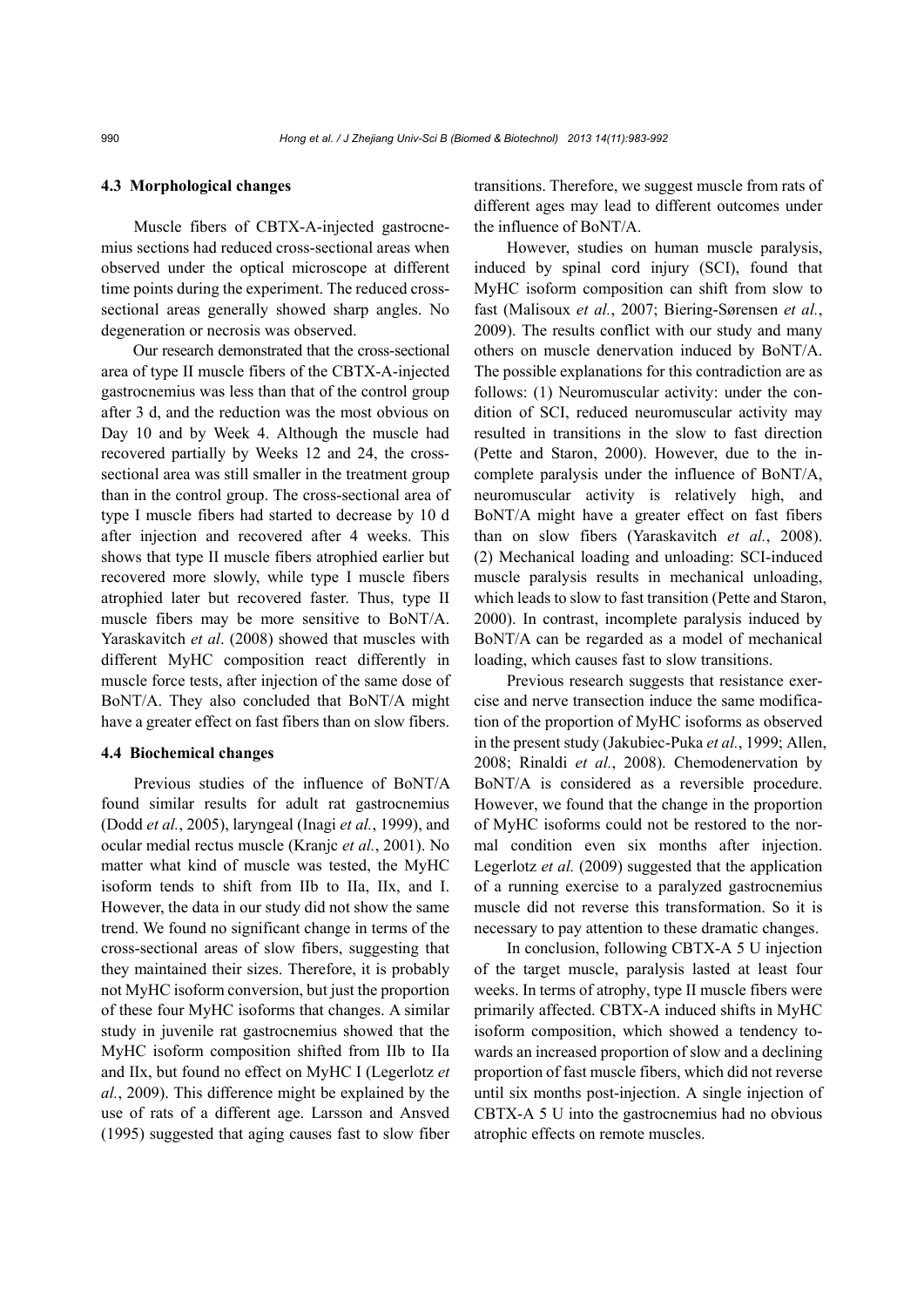#### **4.3 Morphological changes**

Muscle fibers of CBTX-A-injected gastrocnemius sections had reduced cross-sectional areas when observed under the optical microscope at different time points during the experiment. The reduced crosssectional areas generally showed sharp angles. No degeneration or necrosis was observed.

Our research demonstrated that the cross-sectional area of type II muscle fibers of the CBTX-A-injected gastrocnemius was less than that of the control group after 3 d, and the reduction was the most obvious on Day 10 and by Week 4. Although the muscle had recovered partially by Weeks 12 and 24, the crosssectional area was still smaller in the treatment group than in the control group. The cross-sectional area of type I muscle fibers had started to decrease by 10 d after injection and recovered after 4 weeks. This shows that type II muscle fibers atrophied earlier but recovered more slowly, while type I muscle fibers atrophied later but recovered faster. Thus, type II muscle fibers may be more sensitive to BoNT/A. Yaraskavitch *et al*. (2008) showed that muscles with different MyHC composition react differently in muscle force tests, after injection of the same dose of BoNT/A. They also concluded that BoNT/A might have a greater effect on fast fibers than on slow fibers.

#### **4.4 Biochemical changes**

Previous studies of the influence of BoNT/A found similar results for adult rat gastrocnemius (Dodd *et al.*, 2005), laryngeal (Inagi *et al.*, 1999), and ocular medial rectus muscle (Kranjc *et al.*, 2001). No matter what kind of muscle was tested, the MyHC isoform tends to shift from IIb to IIa, IIx, and I. However, the data in our study did not show the same trend. We found no significant change in terms of the cross-sectional areas of slow fibers, suggesting that they maintained their sizes. Therefore, it is probably not MyHC isoform conversion, but just the proportion of these four MyHC isoforms that changes. A similar study in juvenile rat gastrocnemius showed that the MyHC isoform composition shifted from IIb to IIa and IIx, but found no effect on MyHC I (Legerlotz *et al.*, 2009). This difference might be explained by the use of rats of a different age. Larsson and Ansved (1995) suggested that aging causes fast to slow fiber

transitions. Therefore, we suggest muscle from rats of different ages may lead to different outcomes under the influence of BoNT/A.

However, studies on human muscle paralysis, induced by spinal cord injury (SCI), found that MyHC isoform composition can shift from slow to fast (Malisoux *et al.*, 2007; Biering-Sørensen *et al.*, 2009). The results conflict with our study and many others on muscle denervation induced by BoNT/A. The possible explanations for this contradiction are as follows: (1) Neuromuscular activity: under the condition of SCI, reduced neuromuscular activity may resulted in transitions in the slow to fast direction (Pette and Staron, 2000). However, due to the incomplete paralysis under the influence of BoNT/A, neuromuscular activity is relatively high, and BoNT/A might have a greater effect on fast fibers than on slow fibers (Yaraskavitch *et al.*, 2008). (2) Mechanical loading and unloading: SCI-induced muscle paralysis results in mechanical unloading, which leads to slow to fast transition (Pette and Staron, 2000). In contrast, incomplete paralysis induced by BoNT/A can be regarded as a model of mechanical loading, which causes fast to slow transitions.

Previous research suggests that resistance exercise and nerve transection induce the same modification of the proportion of MyHC isoforms as observed in the present study (Jakubiec-Puka *et al.*, 1999; Allen, 2008; Rinaldi *et al.*, 2008). Chemodenervation by BoNT/A is considered as a reversible procedure. However, we found that the change in the proportion of MyHC isoforms could not be restored to the normal condition even six months after injection. Legerlotz *et al.* (2009) suggested that the application of a running exercise to a paralyzed gastrocnemius muscle did not reverse this transformation. So it is necessary to pay attention to these dramatic changes.

In conclusion, following CBTX-A 5 U injection of the target muscle, paralysis lasted at least four weeks. In terms of atrophy, type II muscle fibers were primarily affected. CBTX-A induced shifts in MyHC isoform composition, which showed a tendency towards an increased proportion of slow and a declining proportion of fast muscle fibers, which did not reverse until six months post-injection. A single injection of CBTX-A 5 U into the gastrocnemius had no obvious atrophic effects on remote muscles.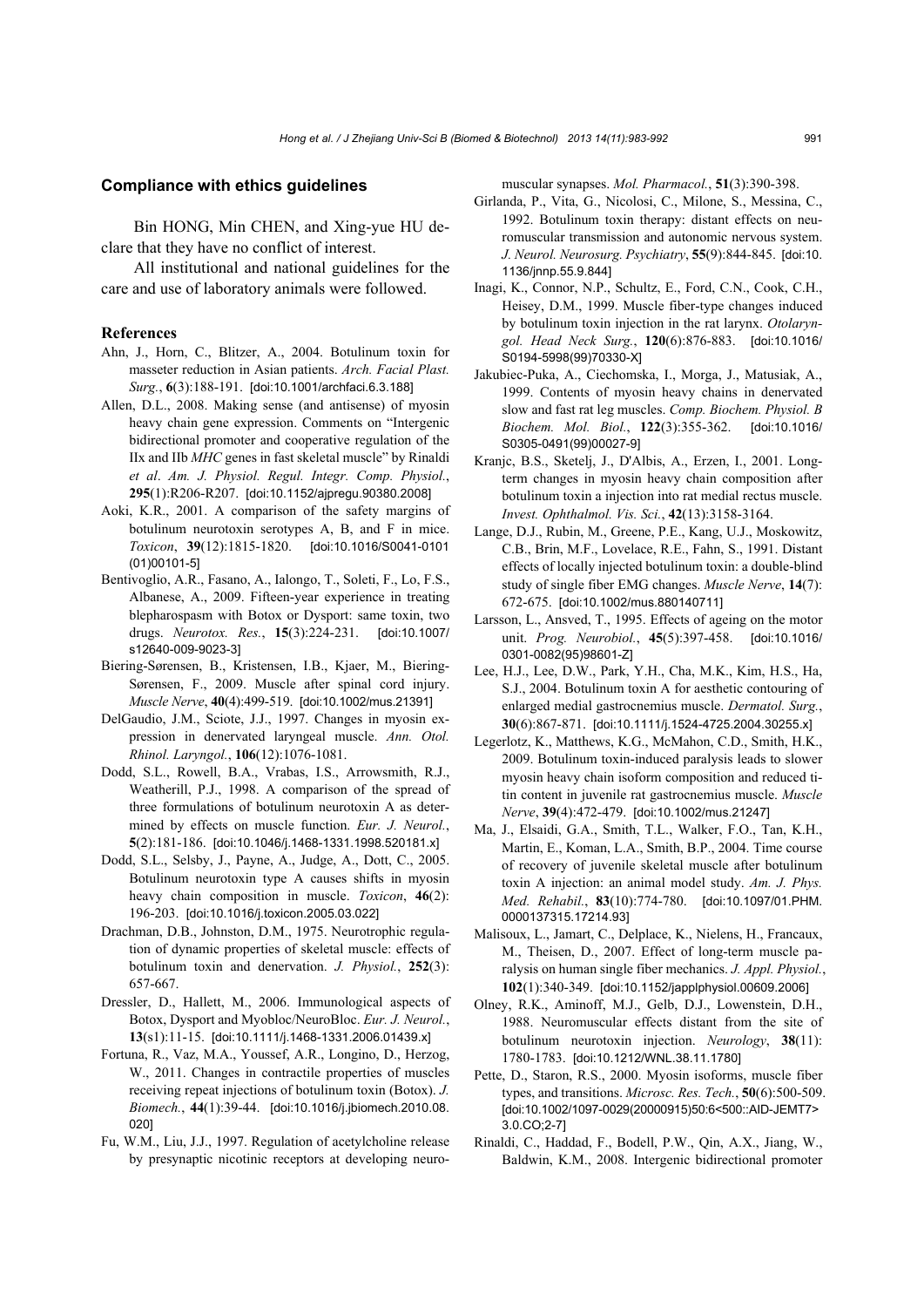#### **Compliance with ethics guidelines**

Bin HONG, Min CHEN, and Xing-yue HU declare that they have no conflict of interest.

All institutional and national guidelines for the care and use of laboratory animals were followed.

#### **References**

- Ahn, J., Horn, C., Blitzer, A., 2004. Botulinum toxin for masseter reduction in Asian patients. *Arch. Facial Plast. Surg.*, **6**(3):188-191. [doi:10.1001/archfaci.6.3.188]
- Allen, D.L., 2008. Making sense (and antisense) of myosin heavy chain gene expression. Comments on "Intergenic bidirectional promoter and cooperative regulation of the IIx and IIb *MHC* genes in fast skeletal muscle" by Rinaldi *et al*. *Am. J. Physiol. Regul. Integr. Comp. Physiol.*, **295**(1):R206-R207. [doi:10.1152/ajpregu.90380.2008]
- Aoki, K.R., 2001. A comparison of the safety margins of botulinum neurotoxin serotypes A, B, and F in mice. *Toxicon*, **39**(12):1815-1820. [doi:10.1016/S0041-0101 (01)00101-5]
- Bentivoglio, A.R., Fasano, A., Ialongo, T., Soleti, F., Lo, F.S., Albanese, A., 2009. Fifteen-year experience in treating blepharospasm with Botox or Dysport: same toxin, two drugs. *Neurotox. Res.*, **15**(3):224-231. [doi:10.1007/ s12640-009-9023-3]
- Biering-Sørensen, B., Kristensen, I.B., Kjaer, M., Biering-Sørensen, F., 2009. Muscle after spinal cord injury. *Muscle Nerve*, **40**(4):499-519. [doi:10.1002/mus.21391]
- DelGaudio, J.M., Sciote, J.J., 1997. Changes in myosin expression in denervated laryngeal muscle. *Ann. Otol. Rhinol. Laryngol.*, **106**(12):1076-1081.
- Dodd, S.L., Rowell, B.A., Vrabas, I.S., Arrowsmith, R.J., Weatherill, P.J., 1998. A comparison of the spread of three formulations of botulinum neurotoxin A as determined by effects on muscle function. *Eur. J. Neurol.*, **5**(2):181-186. [doi:10.1046/j.1468-1331.1998.520181.x]
- Dodd, S.L., Selsby, J., Payne, A., Judge, A., Dott, C., 2005. Botulinum neurotoxin type A causes shifts in myosin heavy chain composition in muscle. *Toxicon*, **46**(2): 196-203. [doi:10.1016/j.toxicon.2005.03.022]
- Drachman, D.B., Johnston, D.M., 1975. Neurotrophic regulation of dynamic properties of skeletal muscle: effects of botulinum toxin and denervation. *J. Physiol.*, **252**(3): 657-667.
- Dressler, D., Hallett, M., 2006. Immunological aspects of Botox, Dysport and Myobloc/NeuroBloc. *Eur. J. Neurol.*, **13**(s1):11-15. [doi:10.1111/j.1468-1331.2006.01439.x]
- Fortuna, R., Vaz, M.A., Youssef, A.R., Longino, D., Herzog, W., 2011. Changes in contractile properties of muscles receiving repeat injections of botulinum toxin (Botox). *J. Biomech.*, **44**(1):39-44. [doi:10.1016/j.jbiomech.2010.08. 020]
- Fu, W.M., Liu, J.J., 1997. Regulation of acetylcholine release by presynaptic nicotinic receptors at developing neuro-

muscular synapses. *Mol. Pharmacol.*, **51**(3):390-398.

- Girlanda, P., Vita, G., Nicolosi, C., Milone, S., Messina, C., 1992. Botulinum toxin therapy: distant effects on neuromuscular transmission and autonomic nervous system. *J. Neurol. Neurosurg. Psychiatry*, **55**(9):844-845. [doi:10. 1136/jnnp.55.9.844]
- Inagi, K., Connor, N.P., Schultz, E., Ford, C.N., Cook, C.H., Heisey, D.M., 1999. Muscle fiber-type changes induced by botulinum toxin injection in the rat larynx. *Otolaryngol. Head Neck Surg.*, **120**(6):876-883. [doi:10.1016/ S0194-5998(99)70330-X]
- Jakubiec-Puka, A., Ciechomska, I., Morga, J., Matusiak, A., 1999. Contents of myosin heavy chains in denervated slow and fast rat leg muscles. *Comp. Biochem. Physiol. B Biochem. Mol. Biol.*, **122**(3):355-362. [doi:10.1016/ S0305-0491(99)00027-9]
- Kranjc, B.S., Sketelj, J., D'Albis, A., Erzen, I., 2001. Longterm changes in myosin heavy chain composition after botulinum toxin a injection into rat medial rectus muscle. *Invest. Ophthalmol. Vis. Sci.*, **42**(13):3158-3164.
- Lange, D.J., Rubin, M., Greene, P.E., Kang, U.J., Moskowitz, C.B., Brin, M.F., Lovelace, R.E., Fahn, S., 1991. Distant effects of locally injected botulinum toxin: a double-blind study of single fiber EMG changes. *Muscle Nerve*, **14**(7): 672-675. [doi:10.1002/mus.880140711]
- Larsson, L., Ansved, T., 1995. Effects of ageing on the motor unit. *Prog. Neurobiol.*, **45**(5):397-458. [doi:10.1016/ 0301-0082(95)98601-Z]
- Lee, H.J., Lee, D.W., Park, Y.H., Cha, M.K., Kim, H.S., Ha, S.J., 2004. Botulinum toxin A for aesthetic contouring of enlarged medial gastrocnemius muscle. *Dermatol. Surg.*, **30**(6):867-871. [doi:10.1111/j.1524-4725.2004.30255.x]
- Legerlotz, K., Matthews, K.G., McMahon, C.D., Smith, H.K., 2009. Botulinum toxin-induced paralysis leads to slower myosin heavy chain isoform composition and reduced titin content in juvenile rat gastrocnemius muscle. *Muscle Nerve*, **39**(4):472-479. [doi:10.1002/mus.21247]
- Ma, J., Elsaidi, G.A., Smith, T.L., Walker, F.O., Tan, K.H., Martin, E., Koman, L.A., Smith, B.P., 2004. Time course of recovery of juvenile skeletal muscle after botulinum toxin A injection: an animal model study. *Am. J. Phys. Med. Rehabil.*, **83**(10):774-780. [doi:10.1097/01.PHM. 0000137315.17214.93]
- Malisoux, L., Jamart, C., Delplace, K., Nielens, H., Francaux, M., Theisen, D., 2007. Effect of long-term muscle paralysis on human single fiber mechanics. *J. Appl. Physiol.*, **102**(1):340-349. [doi:10.1152/japplphysiol.00609.2006]
- Olney, R.K., Aminoff, M.J., Gelb, D.J., Lowenstein, D.H., 1988. Neuromuscular effects distant from the site of botulinum neurotoxin injection. *Neurology*, **38**(11): 1780-1783. [doi:10.1212/WNL.38.11.1780]
- Pette, D., Staron, R.S., 2000. Myosin isoforms, muscle fiber types, and transitions. *Microsc. Res. Tech.*, **50**(6):500-509. [doi:10.1002/1097-0029(20000915)50:6<500::AID-JEMT7> 3.0.CO;2-7]
- Rinaldi, C., Haddad, F., Bodell, P.W., Qin, A.X., Jiang, W., Baldwin, K.M., 2008. Intergenic bidirectional promoter